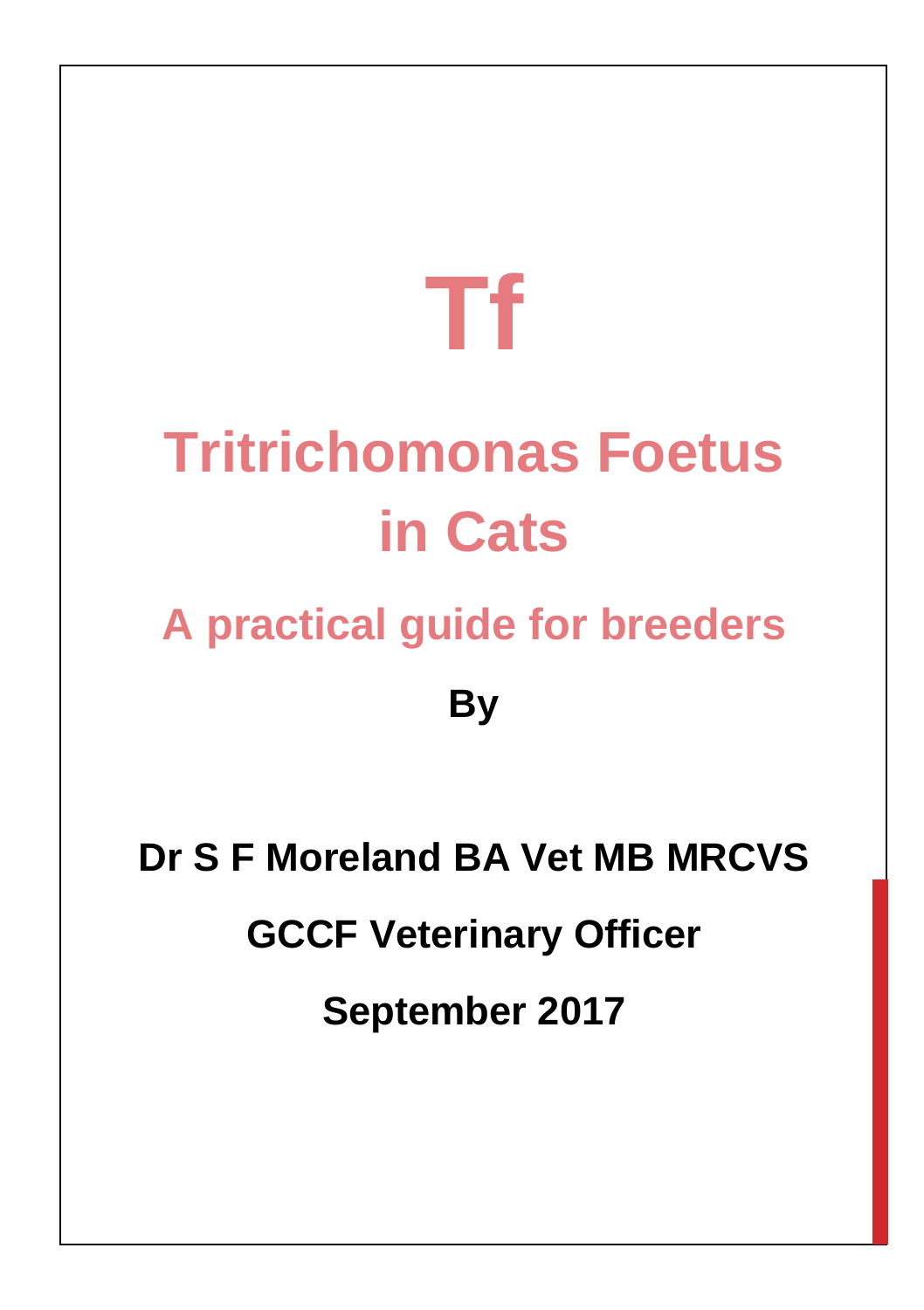# **Tf**

## **Tritrichomonas Foetus in Cats**

### **A practical guide for breeders**

**By**

**Dr S F Moreland BA Vet MB MRCVS GCCF Veterinary Officer September 2017**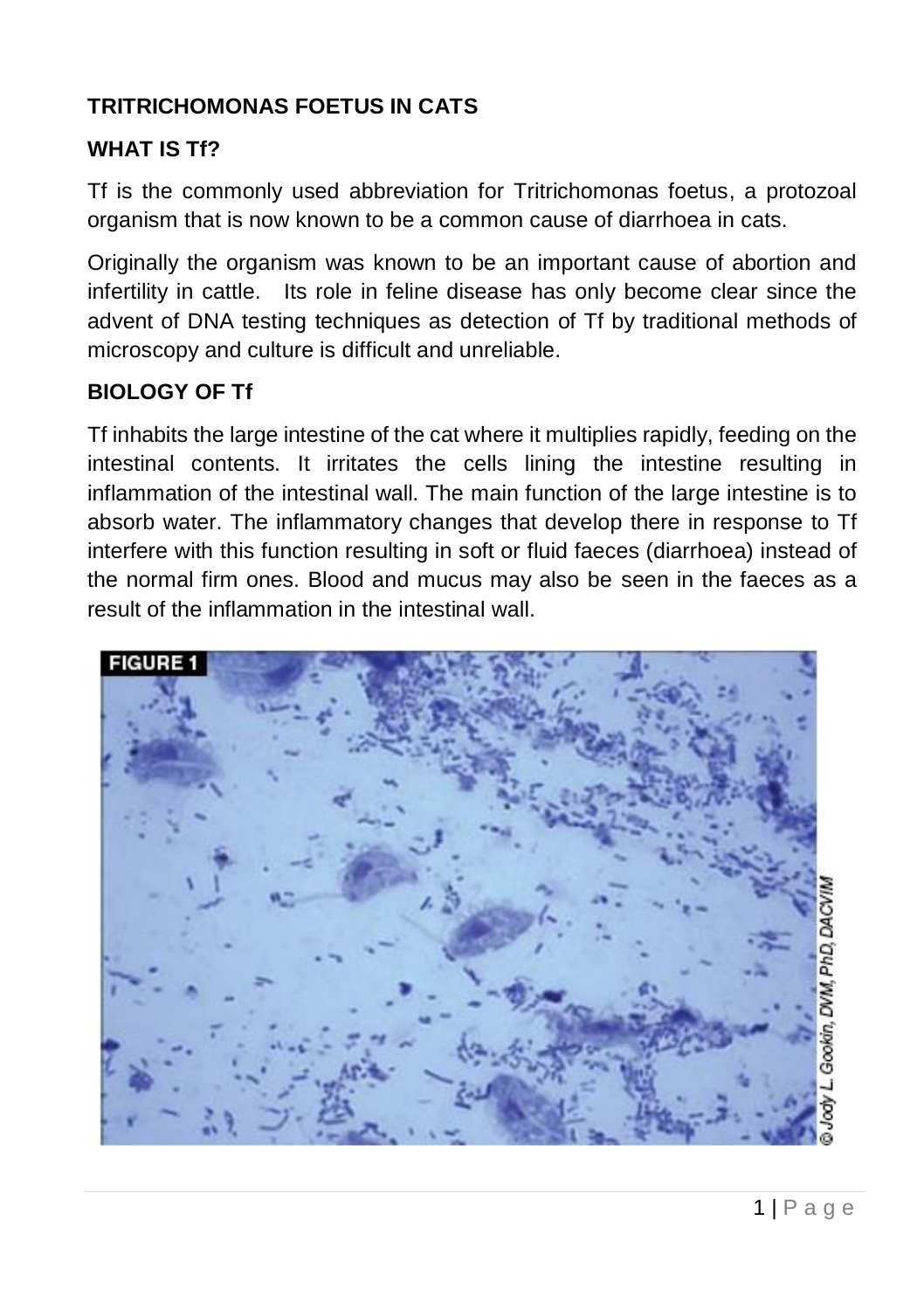#### **TRITRICHOMONAS FOETUS IN CATS**

#### **WHAT IS Tf?**

Tf is the commonly used abbreviation for Tritrichomonas foetus, a protozoal organism that is now known to be a common cause of diarrhoea in cats.

Originally the organism was known to be an important cause of abortion and infertility in cattle. Its role in feline disease has only become clear since the advent of DNA testing techniques as detection of Tf by traditional methods of microscopy and culture is difficult and unreliable.

#### **BIOLOGY OF Tf**

Tf inhabits the large intestine of the cat where it multiplies rapidly, feeding on the intestinal contents. It irritates the cells lining the intestine resulting in inflammation of the intestinal wall. The main function of the large intestine is to absorb water. The inflammatory changes that develop there in response to Tf interfere with this function resulting in soft or fluid faeces (diarrhoea) instead of the normal firm ones. Blood and mucus may also be seen in the faeces as a result of the inflammation in the intestinal wall.

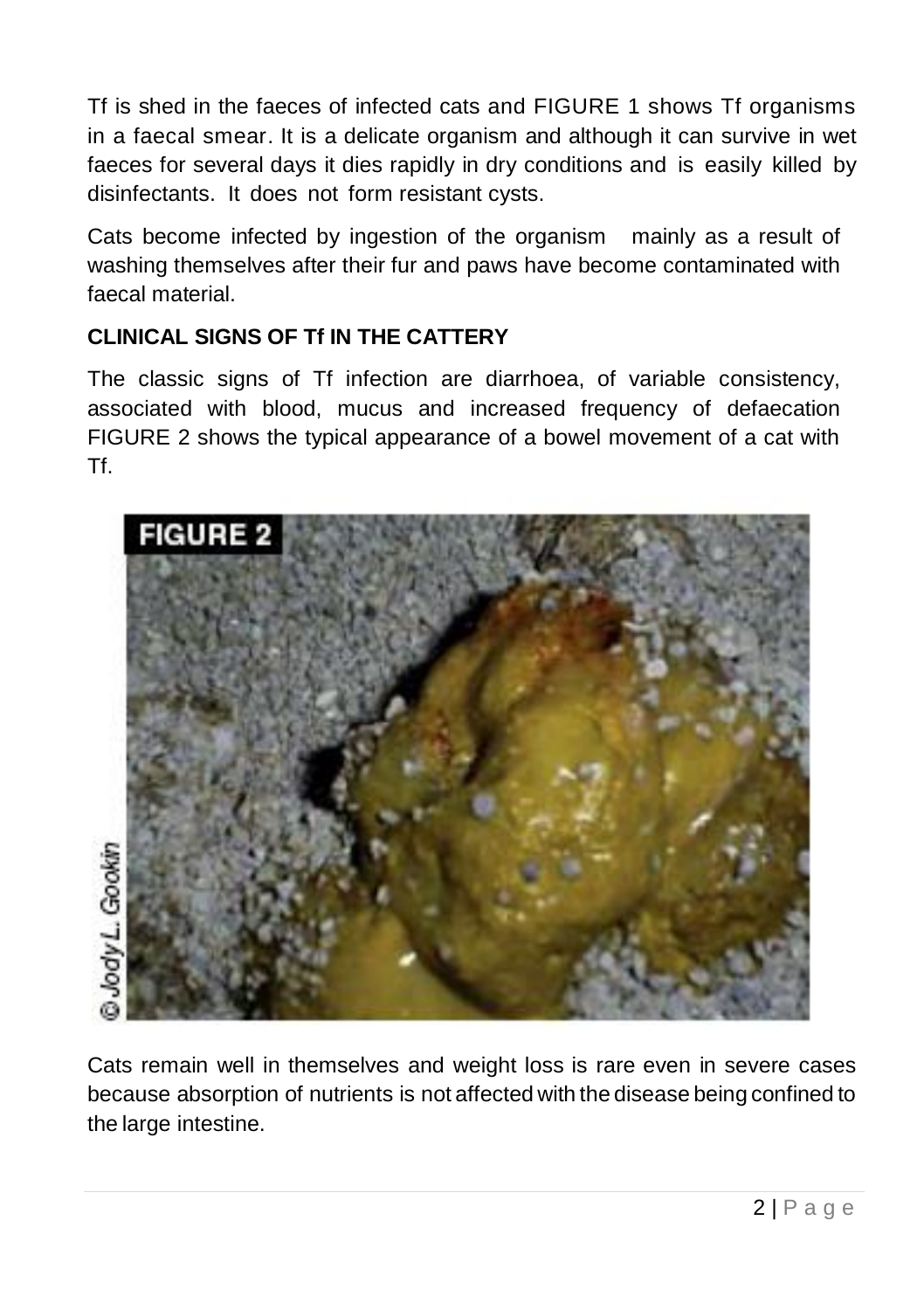Tf is shed in the faeces of infected cats and FIGURE 1 shows Tf organisms in a faecal smear. It is a delicate organism and although it can survive in wet faeces for several days it dies rapidly in dry conditions and is easily killed by disinfectants. It does not form resistant cysts.

Cats become infected by ingestion of the organism mainly as a result of washing themselves after their fur and paws have become contaminated with faecal material.

#### **CLINICAL SIGNS OF Tf IN THE CATTERY**

The classic signs of Tf infection are diarrhoea, of variable consistency, associated with blood, mucus and increased frequency of defaecation FIGURE 2 shows the typical appearance of a bowel movement of a cat with Tf.



Cats remain well in themselves and weight loss is rare even in severe cases because absorption of nutrients is not affected with the disease being confined to the large intestine.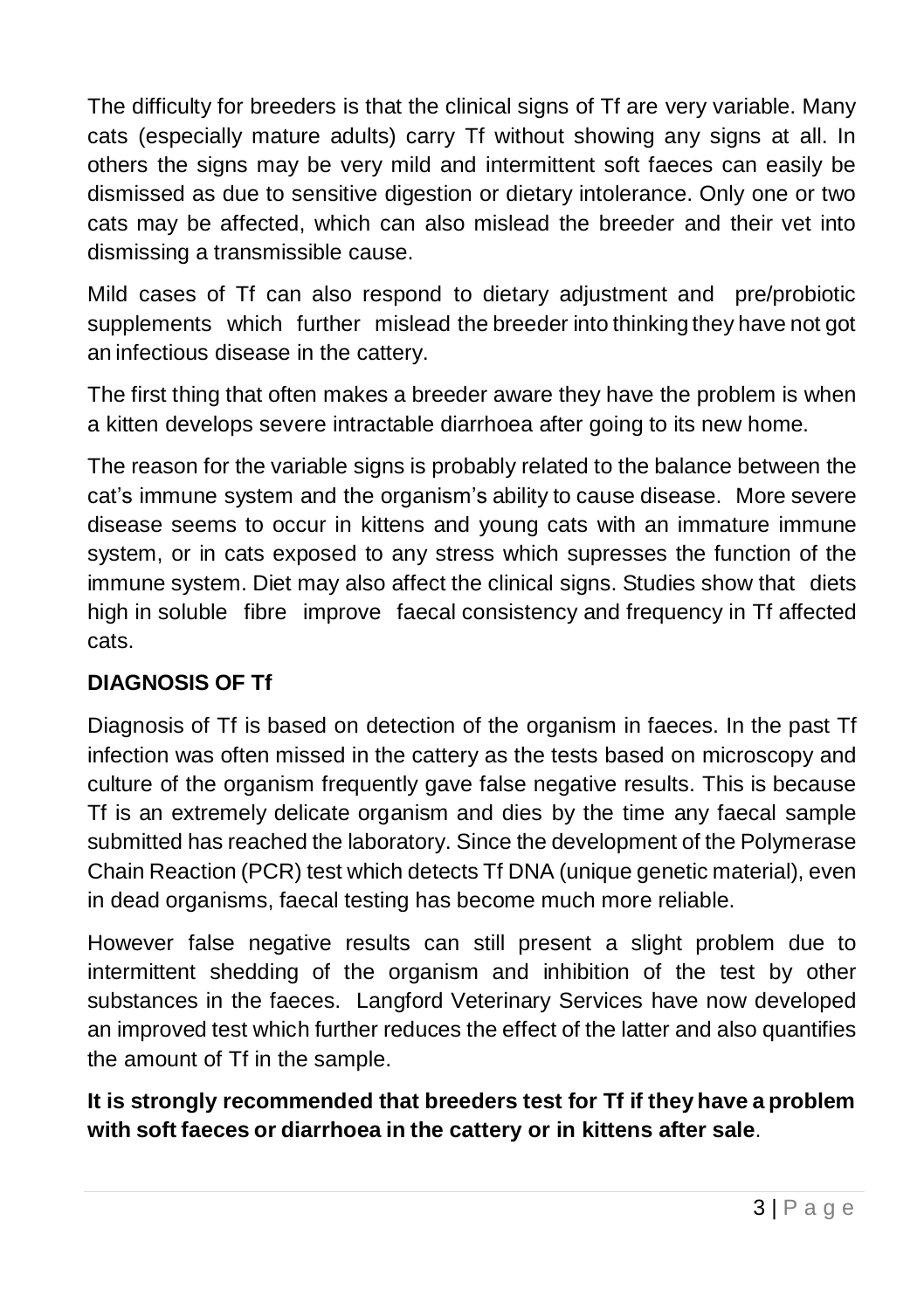The difficulty for breeders is that the clinical signs of Tf are very variable. Many cats (especially mature adults) carry Tf without showing any signs at all. In others the signs may be very mild and intermittent soft faeces can easily be dismissed as due to sensitive digestion or dietary intolerance. Only one or two cats may be affected, which can also mislead the breeder and their vet into dismissing a transmissible cause.

Mild cases of Tf can also respond to dietary adjustment and pre/probiotic supplements which further mislead the breeder into thinking they have not got an infectious disease in the cattery.

The first thing that often makes a breeder aware they have the problem is when a kitten develops severe intractable diarrhoea after going to its new home.

The reason for the variable signs is probably related to the balance between the cat's immune system and the organism's ability to cause disease. More severe disease seems to occur in kittens and young cats with an immature immune system, or in cats exposed to any stress which supresses the function of the immune system. Diet may also affect the clinical signs. Studies show that diets high in soluble fibre improve faecal consistency and frequency in Tf affected cats.

#### **DIAGNOSIS OF Tf**

Diagnosis of Tf is based on detection of the organism in faeces. In the past Tf infection was often missed in the cattery as the tests based on microscopy and culture of the organism frequently gave false negative results. This is because Tf is an extremely delicate organism and dies by the time any faecal sample submitted has reached the laboratory. Since the development of the Polymerase Chain Reaction (PCR) test which detects Tf DNA (unique genetic material), even in dead organisms, faecal testing has become much more reliable.

However false negative results can still present a slight problem due to intermittent shedding of the organism and inhibition of the test by other substances in the faeces. Langford Veterinary Services have now developed an improved test which further reduces the effect of the latter and also quantifies the amount of Tf in the sample.

#### **It is strongly recommended that breeders test for Tf if they have a problem with soft faeces or diarrhoea in the cattery or in kittens after sale**.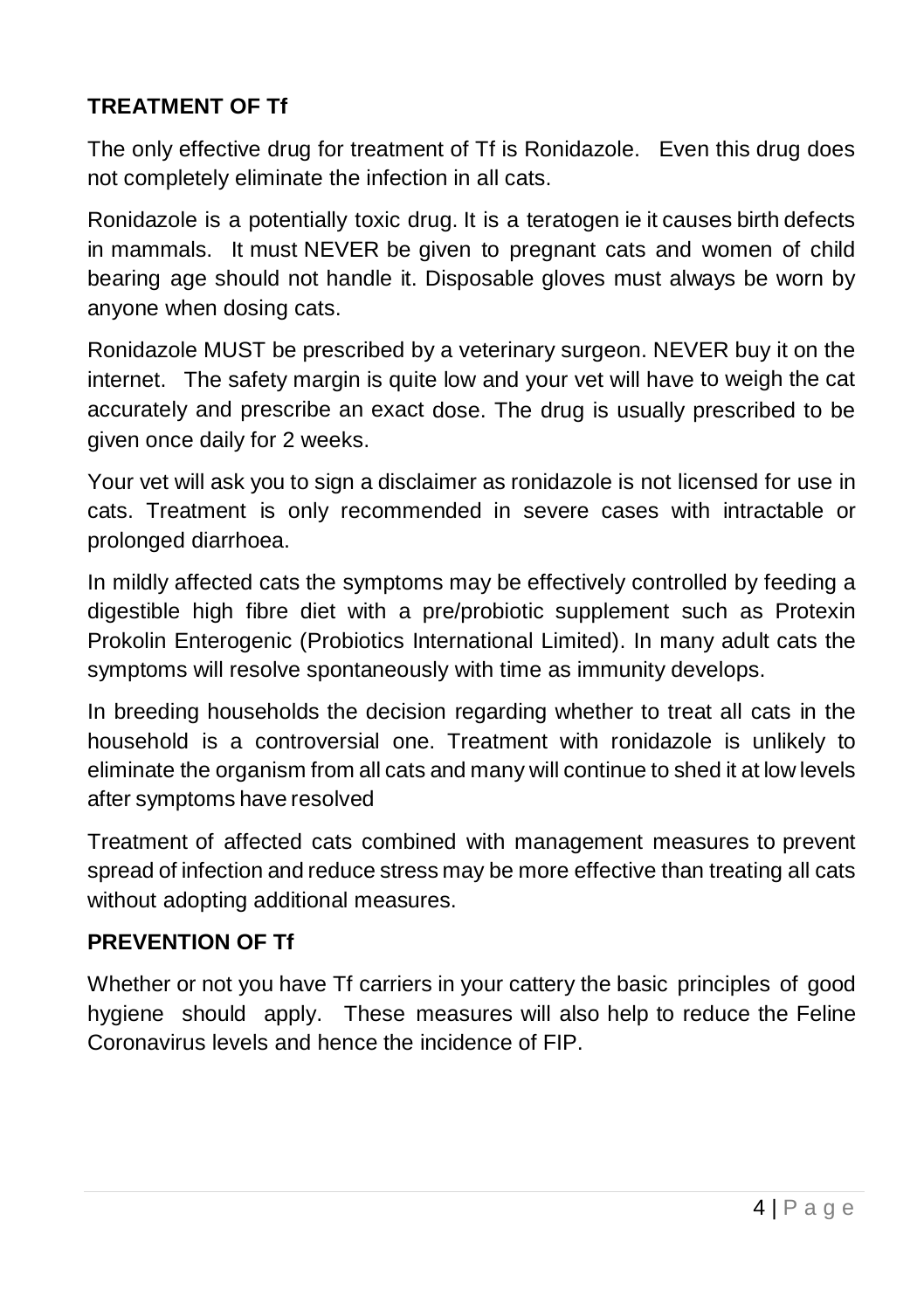#### **TREATMENT OF Tf**

The only effective drug for treatment of Tf is Ronidazole. Even this drug does not completely eliminate the infection in all cats.

Ronidazole is a potentially toxic drug. It is a teratogen ie it causes birth defects in mammals. It must NEVER be given to pregnant cats and women of child bearing age should not handle it. Disposable gloves must always be worn by anyone when dosing cats.

Ronidazole MUST be prescribed by a veterinary surgeon. NEVER buy it on the internet. The safety margin is quite low and your vet will have to weigh the cat accurately and prescribe an exact dose. The drug is usually prescribed to be given once daily for 2 weeks.

Your vet will ask you to sign a disclaimer as ronidazole is not licensed for use in cats. Treatment is only recommended in severe cases with intractable or prolonged diarrhoea.

In mildly affected cats the symptoms may be effectively controlled by feeding a digestible high fibre diet with a pre/probiotic supplement such as Protexin Prokolin Enterogenic (Probiotics International Limited). In many adult cats the symptoms will resolve spontaneously with time as immunity develops.

In breeding households the decision regarding whether to treat all cats in the household is a controversial one. Treatment with ronidazole is unlikely to eliminate the organism from all cats and many will continue to shed it at low levels after symptoms have resolved

Treatment of affected cats combined with management measures to prevent spread of infection and reduce stress may be more effective than treating all cats without adopting additional measures.

#### **PREVENTION OF Tf**

Whether or not you have Tf carriers in your cattery the basic principles of good hygiene should apply. These measures will also help to reduce the Feline Coronavirus levels and hence the incidence of FIP.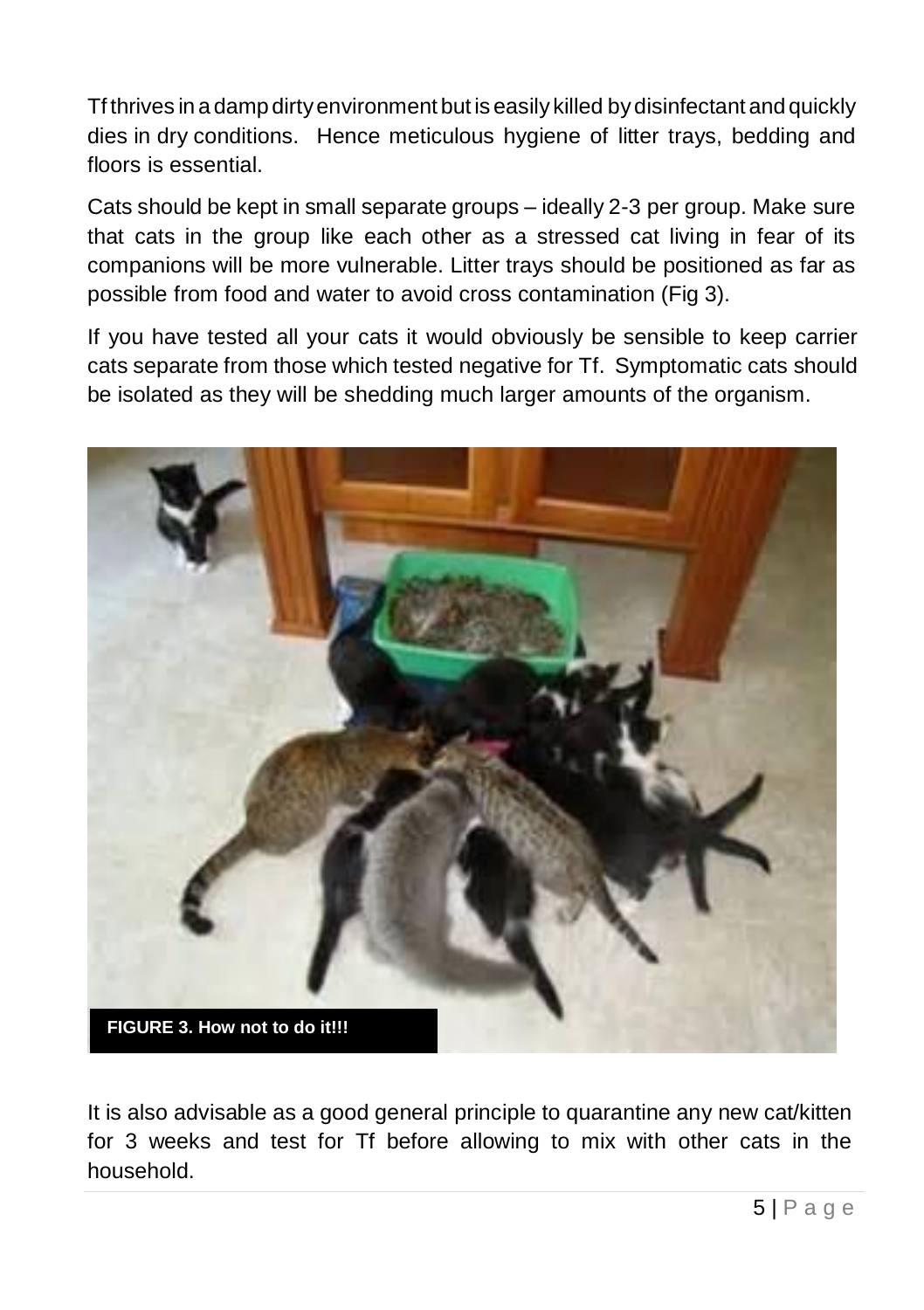Tf thrives in a damp dirtyenvironment but is easily killed bydisinfectant and quickly dies in dry conditions. Hence meticulous hygiene of litter trays, bedding and floors is essential.

Cats should be kept in small separate groups – ideally 2-3 per group. Make sure that cats in the group like each other as a stressed cat living in fear of its companions will be more vulnerable. Litter trays should be positioned as far as possible from food and water to avoid cross contamination (Fig 3).

If you have tested all your cats it would obviously be sensible to keep carrier cats separate from those which tested negative for Tf. Symptomatic cats should be isolated as they will be shedding much larger amounts of the organism.



It is also advisable as a good general principle to quarantine any new cat/kitten for 3 weeks and test for Tf before allowing to mix with other cats in the household.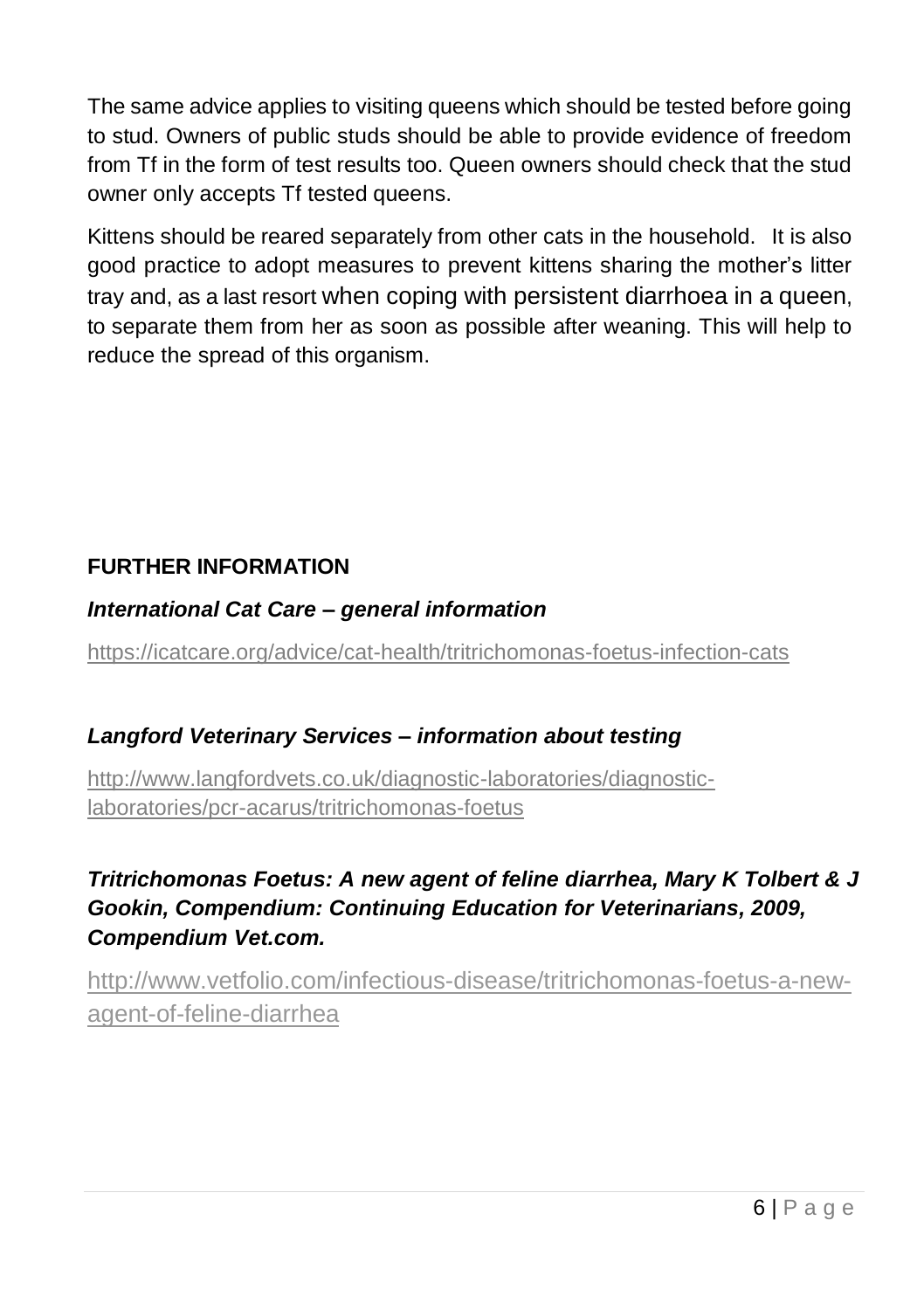The same advice applies to visiting queens which should be tested before going to stud. Owners of public studs should be able to provide evidence of freedom from Tf in the form of test results too. Queen owners should check that the stud owner only accepts Tf tested queens.

Kittens should be reared separately from other cats in the household. It is also good practice to adopt measures to prevent kittens sharing the mother's litter tray and, as a last resort when coping with persistent diarrhoea in a queen, to separate them from her as soon as possible after weaning. This will help to reduce the spread of this organism.

#### **FURTHER INFORMATION**

#### *International Cat Care – general information*

<https://icatcare.org/advice/cat-health/tritrichomonas-foetus-infection-cats>

#### *Langford Veterinary Services – information about testing*

[http://www.langfordvets.co.uk/diagnostic-laboratories/diagnostic](http://www.langfordvets.co.uk/diagnostic-laboratories/diagnostic-laboratories/pcr-acarus/tritrichomonas-foetus)[laboratories/pcr-acarus/tritrichomonas-foetus](http://www.langfordvets.co.uk/diagnostic-laboratories/diagnostic-laboratories/pcr-acarus/tritrichomonas-foetus)

#### *Tritrichomonas Foetus: A new agent of feline diarrhea, Mary K Tolbert & J Gookin, Compendium: Continuing Education for Veterinarians, 2009, Compendium Vet.com.*

[http://www.vetfolio.com/infectious-disease/tritrichomonas-foetus-a-new](http://www.vetfolio.com/infectious-disease/tritrichomonas-foetus-a-new-agent-of-feline-diarrhea)[agent-of-feline-diarrhea](http://www.vetfolio.com/infectious-disease/tritrichomonas-foetus-a-new-agent-of-feline-diarrhea)